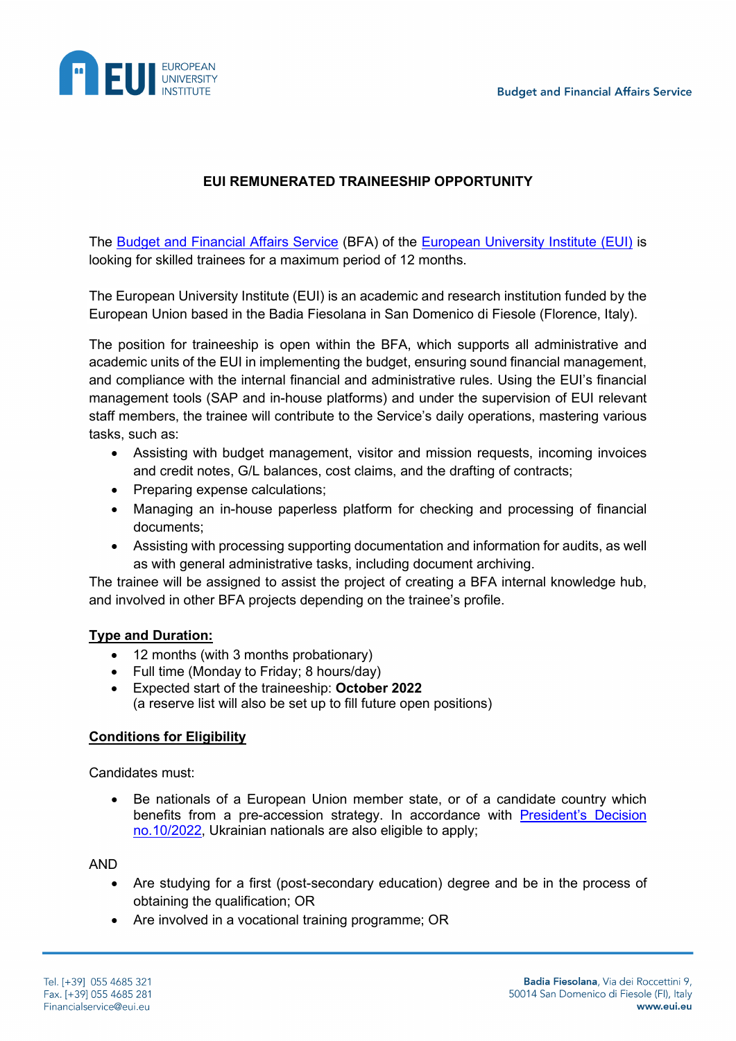

# **EUI REMUNERATED TRAINEESHIP OPPORTUNITY**

The [Budget and Financial Affairs Service](https://www.eui.eu/ServicesAndAdmin/BudgetFinancialService) (BFA) of the [European University Institute](https://www.eui.eu/en/home) (EUI) is looking for skilled trainees for a maximum period of 12 months.

The European University Institute (EUI) is an academic and research institution funded by the European Union based in the Badia Fiesolana in San Domenico di Fiesole (Florence, Italy).

The position for traineeship is open within the BFA, which supports all administrative and academic units of the EUI in implementing the budget, ensuring sound financial management, and compliance with the internal financial and administrative rules. Using the EUI's financial management tools (SAP and in-house platforms) and under the supervision of EUI relevant staff members, the trainee will contribute to the Service's daily operations, mastering various tasks, such as:

- Assisting with budget management, visitor and mission requests, incoming invoices and credit notes, G/L balances, cost claims, and the drafting of contracts;
- Preparing expense calculations;
- Managing an in-house paperless platform for checking and processing of financial documents;
- Assisting with processing supporting documentation and information for audits, as well as with general administrative tasks, including document archiving.

The trainee will be assigned to assist the project of creating a BFA internal knowledge hub, and involved in other BFA projects depending on the trainee's profile.

#### **Type and Duration:**

- 12 months (with 3 months probationary)
- Full time (Monday to Friday; 8 hours/day)
- Expected start of the traineeship: **October 2022**  (a reserve list will also be set up to fill future open positions)

#### **Conditions for Eligibility**

Candidates must:

• Be nationals of a European Union member state, or of a candidate country which benefits from a pre-accession strategy. In accordance with [President's Decision](https://www.eui.eu/Documents/AboutEUI/JobOpportunities/PD-10-2022.pdf)  [no.10/2022,](https://www.eui.eu/Documents/AboutEUI/JobOpportunities/PD-10-2022.pdf) Ukrainian nationals are also eligible to apply;

AND

- Are studying for a first (post-secondary education) degree and be in the process of obtaining the qualification; OR
- Are involved in a vocational training programme; OR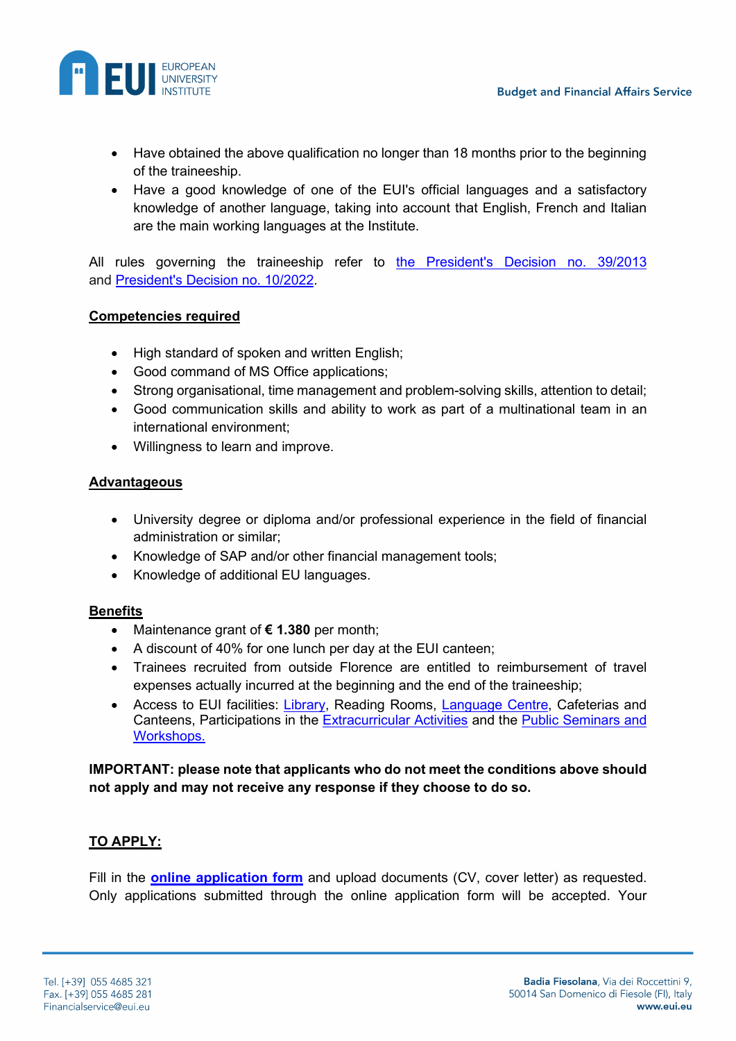

- Have obtained the above qualification no longer than 18 months prior to the beginning of the traineeship.
- Have a good knowledge of one of the EUI's official languages and a satisfactory knowledge of another language, taking into account that English, French and Italian are the main working languages at the Institute.

All rules governing the traineeship refer to [the President's Decision no.](https://www.eui.eu/Documents/AboutEUI/JobOpportunities/Presidents-Decision-392013.pdf) 39/2013 and [President's Decision no. 10/2022.](https://www.eui.eu/Documents/AboutEUI/JobOpportunities/PD-10-2022.pdf)

## **Competencies required**

- High standard of spoken and written English;
- Good command of MS Office applications;
- Strong organisational, time management and problem-solving skills, attention to detail;
- Good communication skills and ability to work as part of a multinational team in an international environment;
- Willingness to learn and improve.

### **Advantageous**

- University degree or diploma and/or professional experience in the field of financial administration or similar;
- Knowledge of SAP and/or other financial management tools;
- Knowledge of additional EU languages.

## **Benefits**

- Maintenance grant of **€ 1.380** per month;
- A discount of 40% for one lunch per day at the EUI canteen;
- Trainees recruited from outside Florence are entitled to reimbursement of travel expenses actually incurred at the beginning and the end of the traineeship;
- Access to EUI facilities: [Library,](https://www.eui.eu/en/services/library) Reading Rooms, [Language Centre,](https://www.eui.eu/en/services/academic-service/language-centre) Cafeterias and Canteens, Participations in the [Extracurricular Activities](https://www.eui.eu/ServicesAndAdmin/ExtracurricularActivities) and the [Public Seminars and](https://www.eui.eu/events)  [Workshops.](https://www.eui.eu/events)

## **IMPORTANT: please note that applicants who do not meet the conditions above should not apply and may not receive any response if they choose to do so.**

## **TO APPLY:**

Fill in the **[online application form](https://apps.eui.eu/Vacancies/ApplicationSubmission/Index/1516)** and upload documents (CV, cover letter) as requested. Only applications submitted through the online application form will be accepted. Your